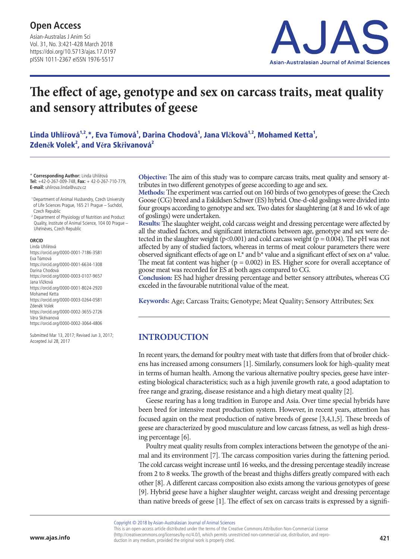Asian-Australas J Anim Sci Vol. 31, No. 3:421-428 March 2018 https://doi.org/10.5713/ajas.17.0197 pISSN 1011-2367 eISSN 1976-5517



## **The effect of age, genotype and sex on carcass traits, meat quality and sensory attributes of geese**

Linda Uhlířová<sup>1,2</sup>,\*, Eva Tůmová<sup>1</sup>, Darina Chodová<sup>1</sup>, Jana Vlčková<sup>1,2</sup>, Mohamed Ketta<sup>1</sup>,  $\mathsf{Z}$ deněk Volek<sup>2</sup>, and Věra Skřivanová<sup>2</sup>

\* **Corresponding Author:** Linda Uhlířová **Tel:** +42-0-267-009-748, **Fax:** + 42-0-267-710-779, **E-mail:** uhlirova.linda@vuzv.cz

 1 Department of Animal Husbandry, Czech University of Life Sciences Prague, 165 21 Prague – Suchdol, Czech Republic

<sup>2</sup> Department of Physiology of Nutrition and Product Quality, Institute of Animal Science, 104 00 Prague – Uhříněves, Czech Republic

#### **ORCID**

Linda Uhlířová https://orcid.org/0000-0001-7186-3581 Eva Tůmová https://orcid.org/0000-0001-6634-1308 Darina Chodová https://orcid.org/0000-0003-0107-9657 Jana Vlčková https://orcid.org/0000-0001-8024-2920 Mohamed Ketta https://orcid.org/0000-0003-0264-0581 Zdeněk Volek https://orcid.org/0000-0002-3655-2726 Věra Skřivanová https://orcid.org/0000-0002-3064-4806

Submitted Mar 13, 2017; Revised Jun 3, 2017; Accepted Jul 28, 2017

**Objective:** The aim of this study was to compare carcass traits, meat quality and sensory attributes in two different genotypes of geese according to age and sex.

**Methods:** The experiment was carried out on 160 birds of two genotypes of geese: the Czech Goose (CG) breed and a Eskildsen Schwer (ES) hybrid. One-d-old goslings were divided into four groups according to genotype and sex. Two dates for slaughtering (at 8 and 16 wk of age of goslings) were undertaken.

**Results:** The slaughter weight, cold carcass weight and dressing percentage were affected by all the studied factors, and significant interactions between age, genotype and sex were detected in the slaughter weight ( $p<0.001$ ) and cold carcass weight ( $p = 0.004$ ). The pH was not affected by any of studied factors, whereas in terms of meat colour parameters there were observed significant effects of age on  $L^*$  and  $b^*$  value and a significant effect of sex on a<sup>\*</sup> value. The meat fat content was higher ( $p = 0.002$ ) in ES. Higher score for overall acceptance of goose meat was recorded for ES at both ages compared to CG.

**Conclusion:** ES had higher dressing percentage and better sensory attributes, whereas CG exceled in the favourable nutritional value of the meat.

**Keywords:** Age; Carcass Traits; Genotype; Meat Quality; Sensory Attributes; Sex

## **INTRODUCTION**

In recent years, the demand for poultry meat with taste that differs from that of broiler chickens has increased among consumers [1]. Similarly, consumers look for high-quality meat in terms of human health. Among the various alternative poultry species, geese have interesting biological characteristics; such as a high juvenile growth rate, a good adaptation to free range and grazing, disease resistance and a high dietary meat quality [2].

Geese rearing has a long tradition in Europe and Asia. Over time special hybrids have been bred for intensive meat production system. However, in recent years, attention has focused again on the meat production of native breeds of geese [3,4,1,5]. These breeds of geese are characterized by good musculature and low carcass fatness, as well as high dressing percentage [6].

Poultry meat quality results from complex interactions between the genotype of the animal and its environment [7]. The carcass composition varies during the fattening period. The cold carcass weight increase until 16 weeks, and the dressing percentage steadily increase from 2 to 8 weeks. The growth of the breast and thighs differs greatly compared with each other [8]. A different carcass composition also exists among the various genotypes of geese [9]. Hybrid geese have a higher slaughter weight, carcass weight and dressing percentage than native breeds of geese [1]. The effect of sex on carcass traits is expressed by a signifi

Copyright © 2018 by Asian-Australasian Journal of Animal Sciences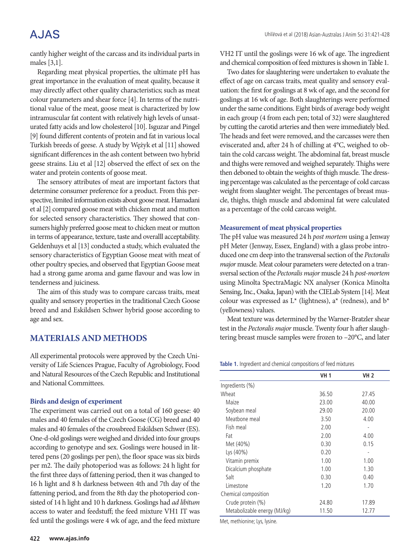## **AJAS**

cantly higher weight of the carcass and its individual parts in males [3,1].

Regarding meat physical properties, the ultimate pH has great importance in the evaluation of meat quality, because it may directly affect other quality characteristics; such as meat colour parameters and shear force [4]. In terms of the nutritional value of the meat, goose meat is characterized by low intramuscular fat content with relatively high levels of unsaturated fatty acids and low cholesterol [10]. Isguzar and Pingel [9] found different contents of protein and fat in various local Turkish breeds of geese. A study by Wężyk et al [11] showed significant differences in the ash content between two hybrid geese strains. Liu et al [12] observed the effect of sex on the water and protein contents of goose meat.

The sensory attributes of meat are important factors that determine consumer preference for a product. From this perspective, limited information exists about goose meat. Hamadani et al [2] compared goose meat with chicken meat and mutton for selected sensory characteristics. They showed that consumers highly preferred goose meat to chicken meat or mutton in terms of appearance, texture, taste and overalll acceptability. Geldenhuys et al [13] conducted a study, which evaluated the sensory characteristics of Egyptian Goose meat with meat of other poultry species, and observed that Egyptian Goose meat had a strong game aroma and game flavour and was low in tenderness and juiciness.

The aim of this study was to compare carcass traits, meat quality and sensory properties in the traditional Czech Goose breed and and Eskildsen Schwer hybrid goose according to age and sex.

## **MATERIALS AND METHODS**

All experimental protocols were approved by the Czech University of Life Sciences Prague, Faculty of Agrobiology, Food and Natural Resources of the Czech Republic and Institutional and National Committees.

#### **Birds and design of experiment**

The experiment was carried out on a total of 160 geese: 40 males and 40 females of the Czech Goose (CG) breed and 40 males and 40 females of the crossbreed Eskildsen Schwer (ES). One-d-old goslings were weighed and divided into four groups according to genotype and sex. Goslings were housed in littered pens (20 goslings per pen), the floor space was six birds per m2. The daily photoperiod was as follows: 24 h light for the first three days of fattening period, then it was changed to 16 h light and 8 h darkness between 4th and 7th day of the fattening period, and from the 8th day the photoperiod consisted of 14 h light and 10 h darkness. Goslings had *ad libitum* access to water and feedstuff; the feed mixture VH1 IT was fed until the goslings were 4 wk of age, and the feed mixture VH2 IT until the goslings were 16 wk of age. The ingredient and chemical composition of feed mixtures is shown in Table 1.

Two dates for slaughtering were undertaken to evaluate the effect of age on carcass traits, meat quality and sensory evaluation: the first for goslings at 8 wk of age, and the second for goslings at 16 wk of age. Both slaughterings were performed under the same conditions. Eight birds of average body weight in each group (4 from each pen; total of 32) were slaughtered by cutting the carotid arteries and then were immediately bled. The heads and feet were removed, and the carcasses were then eviscerated and, after 24 h of chilling at 4°C, weighed to obtain the cold carcass weight. The abdominal fat, breast muscle and thighs were removed and weighed separately. Thighs were then deboned to obtain the weights of thigh muscle. The dressing percentage was calculated as the percentage of cold carcass weight from slaughter weight. The percentages of breast muscle, thighs, thigh muscle and abdominal fat were calculated as a percentage of the cold carcass weight.

#### **Measurement of meat physical properties**

The pH value was measured 24 h *post mortem* using a Jenway pH Meter (Jenway, Essex, England) with a glass probe introduced one cm deep into the transversal section of the *Pectoralis major* muscle. Meat colour parameters were detected on a transversal section of the *Pectoralis major* muscle 24 h *post-mortem* using Minolta SpectraMagic NX analyser (Konica Minolta Sensing, Inc., Osaka, Japan) with the CIELab System [14]. Meat colour was expressed as  $L^*$  (lightness), a<sup>\*</sup> (redness), and  $b^*$ (yellowness) values.

Meat texture was determined by the Warner-Bratzler shear test in the *Pectoralis major* muscle. Twenty four h after slaughtering breast muscle samples were frozen to –20°C, and later

**Table 1.** Ingredient and chemical compositions of feed mixtures

|                              | <b>VH 1</b> | <b>VH 2</b> |
|------------------------------|-------------|-------------|
| Ingredients (%)              |             |             |
| Wheat                        | 36.50       | 27.45       |
| Maize                        | 23.00       | 40.00       |
| Soybean meal                 | 29.00       | 20.00       |
| Meatbone meal                | 3.50        | 4.00        |
| Fish meal                    | 2.00        |             |
| Fat                          | 2.00        | 4.00        |
| Met (40%)                    | 0.30        | 0.15        |
| Lys (40%)                    | 0.20        |             |
| Vitamin premix               | 1.00        | 1.00        |
| Dicalcium phosphate          | 1.00        | 1.30        |
| Salt                         | 0.30        | 0.40        |
| Limestone                    | 1.20        | 1.70        |
| Chemical composition         |             |             |
| Crude protein (%)            | 24.80       | 17.89       |
| Metabolizable energy (MJ/kg) | 11.50       | 12.77       |

Met, methionine; Lys, lysine.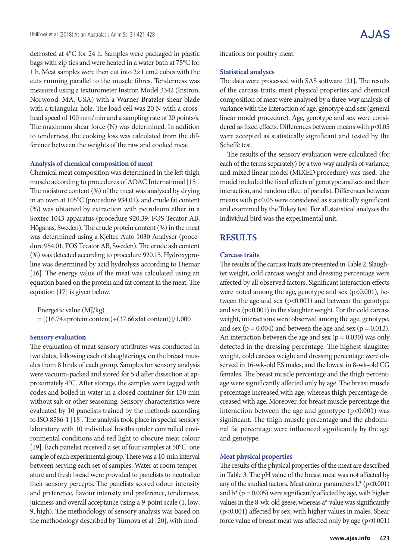defrosted at 4°C for 24 h. Samples were packaged in plastic bags with zip ties and were heated in a water bath at 75°C for 1 h. Meat samples were then cut into 2×1 cm2 cubes with the cuts running parallel to the muscle fibres. Tenderness was measured using a texturometer Instron Model 3342 (Instron, Norwood, MA, USA) with a Warner-Bratzler shear blade with a triangular hole. The load cell was 20 N with a crosshead speed of 100 mm/min and a sampling rate of 20 points/s. The maximum shear force (N) was determined. In addition to tenderness, the cooking loss was calculated from the difference between the weights of the raw and cooked meat.

#### **Analysis of chemical composition of meat**

Chemical meat composition was determined in the left thigh muscle according to procedures of AOAC International [15]. The moisture content (%) of the meat was analysed by drying in an oven at 105°C (procedure 934.01), and crude fat content (%) was obtained by extraction with petroleum ether in a Soxtec 1043 apparatus (procedure 920.39; FOS Tecator AB, Högänas, Sweden). The crude protein content (%) in the meat was determined using a Kjeltec Auto 1030 Analyser (procedure 954.01; FOS Tecator AB, Sweden). The crude ash content (%) was detected according to procedure 920.15. Hydroxyproline was determined by acid hydrolysis according to Diemar [16]. The energy value of the meat was calculated using an equation based on the protein and fat content in the meat. The equation [17] is given below.

Energetic value (MJ/kg)  $=[(16.74\times\text{protein content})+(37.66\times\text{fat content})]/1,000$ 

#### **Sensory evaluation**

The evaluation of meat sensory attributes was conducted in two dates, following each of slaughterings, on the breast muscles from 8 birds of each group. Samples for sensory analysis were vacuum-packed and stored for 5 d after dissection at approximately 4°C. After storage, the samples were tagged with codes and boiled in water in a closed container for 150 min without salt or other seasoning. Sensory characteristics were evaluated by 10 panelists trained by the methods according to ISO 8586-1 [18]. The analysis took place in special sensory laboratory with 10 individual booths under controlled environmental conditions and red light to obscure meat colour [19]. Each panelist received a set of four samples at 50°C: one sample of each experimental group. There was a 10-min interval between serving each set of samples. Water at room temperature and fresh bread were provided to panelists to neutralize their sensory percepts. The panelists scored odour intensity and preference, flavour intensity and preference, tenderness, juiciness and overall acceptance using a 9-point scale (1, low; 9, high). The methodology of sensory analysis was based on the methodology described by Tůmová et al [20], with modifications for poultry meat.

#### **Statistical analyses**

The data were processed with SAS software [21]. The results of the carcass traits, meat physical properties and chemical composition of meat were analysed by a three-way analysis of variance with the interaction of age, genotype and sex (general linear model procedure). Age, genotype and sex were considered as fixed effects. Differences between means with p<0.05 were accepted as statistically significant and tested by the Scheffé test.

The results of the sensory evaluation were calculated (for each of the terms separately) by a two-way analysis of variance, and mixed linear model (MIXED procedure) was used. The model included the fixed effects of genotype and sex and their interaction, and random effect of panelist. Differences between means with p<0.05 were considered as statistically significant and examined by the Tukey test. For all statistical analyses the individual bird was the experimental unit.

### **RESULTS**

#### **Carcass traits**

The results of the carcass traits are presented in Table 2. Slaughter weight, cold carcass weight and dressing percentage were affected by all observed factors. Significant interaction effects were noted among the age, genotype and sex  $(p<0.001)$ , between the age and sex  $(p<0.001)$  and between the genotype and sex (p<0.001) in the slaughter weight. For the cold carcass weight, interactions were observed among the age, genotype, and sex ( $p = 0.004$ ) and between the age and sex ( $p = 0.012$ ). An interaction between the age and sex ( $p = 0.030$ ) was only detected in the dressing percentage. The highest slaughter weight, cold carcass weight and dressing percentage were observed in 16-wk-old ES males, and the lowest in 8-wk-old CG females. The breast muscle percentage and the thigh percentage were significantly affected only by age. The breast muscle percentage increased with age, whereas thigh percentage decreased with age. Moreover, for breast muscle percentage the interaction between the age and genotype  $(p<0.001)$  was significant. The thigh muscle percentage and the abdominal fat percentage were influenced significantly by the age and genotype.

#### **Meat physical properties**

The results of the physical properties of the meat are described in Table 3. The pH value of the breast meat was not affected by any of the studied factors. Meat colour parameters  $L^*$  (p<0.001) and  $b^*$  ( $p = 0.005$ ) were significantly affected by age, with higher values in the 8-wk-old geese, whereas a\* value was significantly (p<0.001) affected by sex, with higher values in males. Shear force value of breast meat was affected only by age (p<0.001)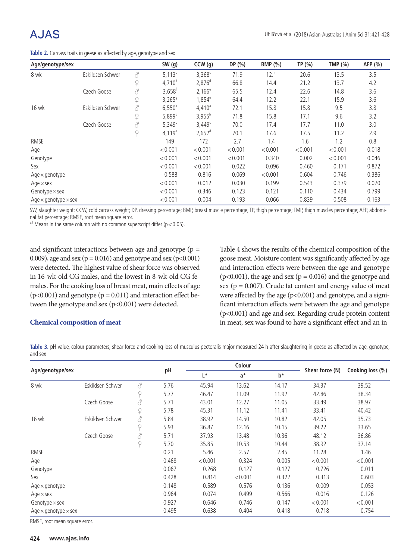# A.JAS

| Age/genotype/sex                   |                  |                         | SW(g)                | CCW(g)             | DP (%)  | <b>BMP</b> (%) | TP (%)  | TMP $(%)$ | AFP (%) |
|------------------------------------|------------------|-------------------------|----------------------|--------------------|---------|----------------|---------|-----------|---------|
| 8 wk                               | Eskildsen Schwer | 8                       | $5,113$ <sup>c</sup> | $3,368^c$          | 71.9    | 12.1           | 20.6    | 13.5      | 3.5     |
|                                    |                  | $\widetilde{P}$         | 4,710 <sup>d</sup>   | $2,876^{d}$        | 66.8    | 14.4           | 21.2    | 13.7      | 4.2     |
|                                    | Czech Goose      | $\vec{\mathcal{S}}$     | $3,658$ <sup>†</sup> | $2,166^e$          | 65.5    | 12.4           | 22.6    | 14.8      | 3.6     |
|                                    |                  | $\hbox{$\mathfrak{L}$}$ | $3,265$ <sup>g</sup> | $1,854^e$          | 64.4    | 12.2           | 22.1    | 15.9      | 3.6     |
| 16 wk                              | Eskildsen Schwer | $\vec{\mathcal{S}}$     | $6,550^{\circ}$      | $4,410^a$          | 72.1    | 15.8           | 15.8    | 9.5       | 3.8     |
|                                    |                  | $\varphi$               | $5,899^{b}$          | $3,955^{b}$        | 71.8    | 15.8           | 17.1    | 9.6       | 3.2     |
|                                    | Czech Goose      | $\vec{\mathcal{S}}$     | $5,349^c$            | $3,449^c$          | 70.0    | 17.4           | 17.7    | 11.0      | 3.0     |
|                                    |                  | $\varphi$               | $4,119^e$            | 2,652 <sup>d</sup> | 70.1    | 17.6           | 17.5    | 11.2      | 2.9     |
| RMSE                               |                  |                         | 149                  | 172                | 2.7     | 1.4            | 1.6     | 1.2       | 0.8     |
| Age                                |                  |                         | < 0.001              | < 0.001            | < 0.001 | < 0.001        | < 0.001 | < 0.001   | 0.018   |
| Genotype                           |                  |                         | < 0.001              | < 0.001            | < 0.001 | 0.340          | 0.002   | < 0.001   | 0.046   |
| Sex                                |                  |                         | < 0.001              | < 0.001            | 0.022   | 0.096          | 0.460   | 0.171     | 0.872   |
| Age $\times$ genotype              |                  |                         | 0.588                | 0.816              | 0.069   | < 0.001        | 0.604   | 0.746     | 0.386   |
| Age $\times$ sex                   |                  |                         | < 0.001              | 0.012              | 0.030   | 0.199          | 0.543   | 0.379     | 0.070   |
| Genotype $\times$ sex              |                  |                         | < 0.001              | 0.346              | 0.123   | 0.121          | 0.110   | 0.434     | 0.799   |
| Age $\times$ genotype $\times$ sex |                  |                         | < 0.001              | 0.004              | 0.193   | 0.066          | 0.839   | 0.508     | 0.163   |

SW, slaughter weight; CCW, cold carcass weight; DP, dressing percentage; BMP, breast muscle percentage; TP, thigh percentage; TMP, thigh muscles percentage; AFP, abdominal fat percentage; RMSE, root mean square error.

 $a$ , *a*, *f* Means in the same column with no common superscript differ ( $p < 0.05$ ).

and significant interactions between age and genotype (p = 0.009), age and sex ( $p = 0.016$ ) and genotype and sex ( $p < 0.001$ ) were detected. The highest value of shear force was observed in 16-wk-old CG males, and the lowest in 8-wk-old CG females. For the cooking loss of breast meat, main effects of age  $(p<0.001)$  and genotype  $(p = 0.011)$  and interaction effect between the genotype and sex (p<0.001) were detected.

Table 4 shows the results of the chemical composition of the goose meat. Moisture content was significantly affected by age and interaction effects were between the age and genotype ( $p<0.001$ ), the age and sex ( $p = 0.016$ ) and the genotype and sex ( $p = 0.007$ ). Crude fat content and energy value of meat were affected by the age (p<0.001) and genotype, and a significant interaction effects were between the age and genotype (p<0.001) and age and sex. Regarding crude protein content in meat, sex was found to have a significant effect and an in-

### **Chemical composition of meat**

**Table 3.** pH value, colour parameters, shear force and cooking loss of musculus pectoralis major measured 24 h after slaughtering in geese as affected by age, genotype, and sex

|                                    |                  |                                        |       | Colour      |         |       |                 | Cooking loss (%) |
|------------------------------------|------------------|----------------------------------------|-------|-------------|---------|-------|-----------------|------------------|
| Age/genotype/sex                   |                  |                                        | pH    | L*<br>$a^*$ |         | b*    | Shear force (N) |                  |
| 8 wk                               | Eskildsen Schwer | 8                                      | 5.76  | 45.94       | 13.62   | 14.17 | 34.37           | 39.52            |
|                                    |                  | $\hbox{$\mathcal{Q}$}$                 | 5.77  | 46.47       | 11.09   | 11.92 | 42.86           | 38.34            |
|                                    | Czech Goose      | $\vec{\mathcal{S}}$                    | 5.71  | 43.01       | 12.27   | 11.05 | 33.49           | 38.97            |
|                                    |                  | $\mathop{\mathbb Q}\nolimits$          | 5.78  | 45.31       | 11.12   | 11.41 | 33.41           | 40.42            |
| 16 wk                              | Eskildsen Schwer | $\vec{\mathcal{C}}$                    | 5.84  | 38.92       | 14.50   | 10.82 | 42.05           | 35.73            |
|                                    |                  | $\hbox{$\mathop{\textstyle\bigcirc}$}$ | 5.93  | 36.87       | 12.16   | 10.15 | 39.22           | 33.65            |
|                                    | Czech Goose      | $\vec{\mathcal{S}}$                    | 5.71  | 37.93       | 13.48   | 10.36 | 48.12           | 36.86            |
|                                    |                  | $\varphi$                              | 5.70  | 35.85       | 10.53   | 10.44 | 38.92           | 37.14            |
| RMSE                               |                  |                                        | 0.21  | 5.46        | 2.57    | 2.45  | 11.28           | 1.46             |
| Age                                |                  |                                        | 0.468 | < 0.001     | 0.324   | 0.005 | < 0.001         | < 0.001          |
| Genotype                           |                  |                                        | 0.067 | 0.268       | 0.127   | 0.127 | 0.726           | 0.011            |
| Sex                                |                  |                                        | 0.428 | 0.814       | < 0.001 | 0.322 | 0.313           | 0.603            |
| Age $\times$ genotype              |                  |                                        | 0.148 | 0.589       | 0.576   | 0.136 | 0.009           | 0.053            |
| Age $\times$ sex                   |                  |                                        | 0.964 | 0.074       | 0.499   | 0.566 | 0.016           | 0.126            |
| Genotype $\times$ sex              |                  |                                        | 0.927 | 0.646       | 0.746   | 0.147 | < 0.001         | < 0.001          |
| Age $\times$ genotype $\times$ sex |                  |                                        | 0.495 | 0.638       | 0.404   | 0.418 | 0.718           | 0.754            |

RMSE, root mean square error.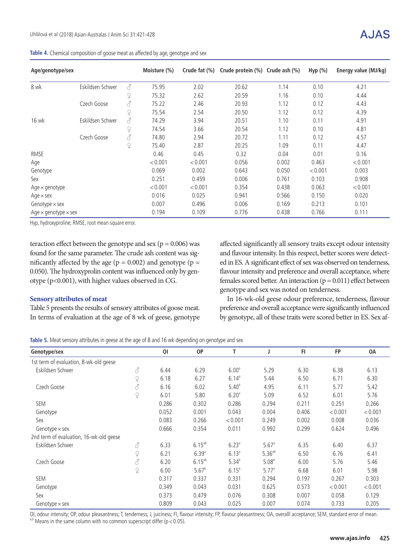|  |  | Table 4. Chemical composition of goose meat as affected by age, genotype and sex |
|--|--|----------------------------------------------------------------------------------|
|  |  |                                                                                  |

| Age/genotype/sex                   |                  |                     | Moisture (%) | Crude fat (%) | Crude protein (%) Crude ash (%) |       | Hyp $(\%)$ | Energy value (MJ/kg) |
|------------------------------------|------------------|---------------------|--------------|---------------|---------------------------------|-------|------------|----------------------|
| 8 wk                               | Eskildsen Schwer | 8                   | 75.95        | 2.02          | 20.62                           | 1.14  | 0.10       | 4.21                 |
|                                    |                  | $\Omega$            | 75.32        | 2.62          | 20.59                           | 1.16  | 0.10       | 4.44                 |
|                                    | Czech Goose      | $\vec{\mathcal{S}}$ | 75.22        | 2.46          | 20.93                           | 1.12  | 0.12       | 4.43                 |
|                                    |                  | $\varphi$           | 75.54        | 2.54          | 20.50                           | 1.12  | 0.12       | 4.39                 |
| 16 wk                              | Eskildsen Schwer | $\vec{\mathcal{C}}$ | 74.29        | 3.94          | 20.51                           | 1.10  | 0.11       | 4.91                 |
|                                    |                  | $\varphi$           | 74.54        | 3.66          | 20.54                           | 1.12  | 0.10       | 4.81                 |
|                                    | Czech Goose      | $\vec{\mathcal{C}}$ | 74.80        | 2.94          | 20.72                           | 1.11  | 0.12       | 4.57                 |
|                                    |                  | $\varphi$           | 75.40        | 2.87          | 20.25                           | 1.09  | 0.11       | 4.47                 |
| RMSE                               |                  |                     | 0.46         | 0.45          | 0.32                            | 0.04  | 0.01       | 0.16                 |
| Age                                |                  |                     | < 0.001      | < 0.001       | 0.056                           | 0.002 | 0.463      | < 0.001              |
| Genotype                           |                  |                     | 0.069        | 0.002         | 0.643                           | 0.050 | < 0.001    | 0.003                |
| Sex                                |                  |                     | 0.251        | 0.459         | 0.006                           | 0.761 | 0.103      | 0.908                |
| Age $\times$ genotype              |                  |                     | < 0.001      | < 0.001       | 0.354                           | 0.438 | 0.063      | < 0.001              |
| Age $\times$ sex                   |                  |                     | 0.016        | 0.025         | 0.941                           | 0.566 | 0.150      | 0.020                |
| Genotype $\times$ sex              |                  |                     | 0.007        | 0.496         | 0.006                           | 0.169 | 0.213      | 0.101                |
| Age $\times$ genotype $\times$ sex |                  |                     | 0.194        | 0.109         | 0.776                           | 0.438 | 0.766      | 0.111                |

Hyp, hydroxyproline; RMSE, root mean square error.

teraction effect between the genotype and sex ( $p = 0.006$ ) was found for the same parameter. The crude ash content was significantly affected by the age ( $p = 0.002$ ) and genotype ( $p =$ 0.050). The hydroxyprolin content was influenced only by genotype (p<0.001), with higher values observed in CG.

#### **Sensory attributes of meat**

Table 5 presents the results of sensory attributes of goose meat. In terms of evaluation at the age of 8 wk of geese, genotype affected significantly all sensory traits except odour intensity and flavour intensity. In this respect, better scores were detected in ES. A significant effect of sex was observed on tenderness, flavour intensity and preference and overall acceptance, where females scored better. An interaction  $(p = 0.011)$  effect between genotype and sex was noted on tenderness.

In 16-wk-old geese odour preference, tenderness, flavour preference and overall acceptance were significantly influenced by genotype, all of these traits were scored better in ES. Sex af-

**Table 5.** Meat sensory attributes in geese at the age of 8 and 16 wk depending on genotype and sex

| Genotype/sex                            |                          | O <sub>l</sub> | <b>OP</b>   | T                 |                     | F1    | <b>FP</b> | 0A      |
|-----------------------------------------|--------------------------|----------------|-------------|-------------------|---------------------|-------|-----------|---------|
| 1st term of evaluation, 8-wk-old geese  |                          |                |             |                   |                     |       |           |         |
| Eskildsen Schwer                        | $\mathcal{S}$            | 6.44           | 6.29        | 6.00 <sup>a</sup> | 5.29                | 6.30  | 6.38      | 6.13    |
|                                         | $\varphi$                | 6.18           | 6.27        | $6.14^{a}$        | 5.44                | 6.50  | 6.71      | 6.30    |
| Czech Goose                             | $\vec{\mathcal{C}}$      | 6.16           | 6.02        | $5.40^{b}$        | 4.95                | 6.11  | 5.77      | 5.42    |
|                                         | $\widetilde{P}$          | 6.01           | 5.80        | 6.20 <sup>a</sup> | 5.09                | 6.52  | 6.01      | 5.76    |
| <b>SEM</b>                              |                          | 0.286          | 0.302       | 0.286             | 0.294               | 0.211 | 0.251     | 0.266   |
| Genotype                                |                          | 0.052          | 0.001       | 0.043             | 0.004               | 0.406 | < 0.001   | < 0.001 |
| Sex                                     |                          | 0.083          | 0.266       | < 0.001           | 0.249               | 0.002 | 0.008     | 0.036   |
| Genotype $\times$ sex                   |                          | 0.666          | 0.354       | 0.011             | 0.992               | 0.299 | 0.624     | 0.496   |
| 2nd term of evaluation, 16-wk-old geese |                          |                |             |                   |                     |       |           |         |
| Eskildsen Schwer                        | $\vec{\mathcal{C}}$      | 6.33           | $6.15^{ab}$ | $6.23^{a}$        | $5.67$ <sup>a</sup> | 6.35  | 6.40      | 6.37    |
|                                         | $\varphi$                | 6.21           | $6.39^{a}$  | $6.13^{a}$        | $5.36^{ab}$         | 6.50  | 6.76      | 6.41    |
| Czech Goose                             | $\vec{\mathcal{C}}$      | 6.20           | $6.15^{ab}$ | $5.34^{b}$        | $5.08^{b}$          | 6.00  | 5.76      | 5.46    |
|                                         | $\widetilde{\mathrm{P}}$ | 6.00           | $5.67^{b}$  | $6.15^{a}$        | $5.77^a$            | 6.68  | 6.01      | 5.98    |
| <b>SEM</b>                              |                          | 0.317          | 0.337       | 0.331             | 0.294               | 0.197 | 0.267     | 0.303   |
| Genotype                                |                          | 0.349          | 0.043       | 0.031             | 0.625               | 0.573 | < 0.001   | < 0.001 |
| Sex                                     |                          | 0.373          | 0.479       | 0.076             | 0.308               | 0.007 | 0.058     | 0.129   |
| Genotype $\times$ sex                   |                          | 0.809          | 0.043       | 0.025             | 0.007               | 0.074 | 0.733     | 0.205   |

OI, odour intensity; OP, odour pleasantness; T, tenderness; J, juiciness; FI, flavour intensity; FP, flavour pleasantness; OA, overalll acceptance; SEM, standard error of mean. a,b Means in the same column with no common superscript differ ( $p < 0.05$ ).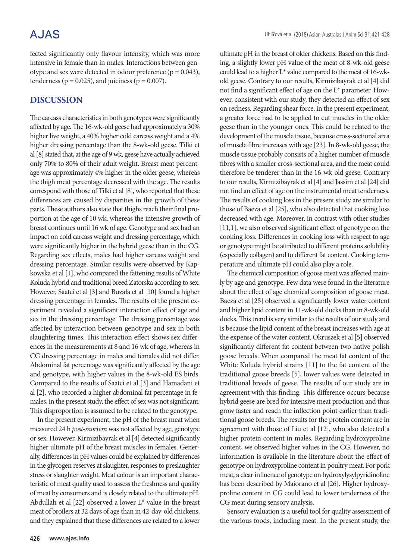## **AJAS**

fected significantly only flavour intensity, which was more intensive in female than in males. Interactions between genotype and sex were detected in odour preference ( $p = 0.043$ ), tenderness ( $p = 0.025$ ), and juiciness ( $p = 0.007$ ).

## **DISCUSSION**

The carcass characteristics in both genotypes were significantly affected by age. The 16-wk-old geese had approximately a 30% higher live weight, a 40% higher cold carcass weight and a 4% higher dressing percentage than the 8-wk-old geese. Tilki et al [8] stated that, at the age of 9 wk, geese have actually achieved only 70% to 80% of their adult weight. Breast meat percentage was approximately 4% higher in the older geese, whereas the thigh meat percentage decreased with the age. The results correspond with those of Tilki et al [8], who reported that these differences are caused by disparities in the growth of these parts. These authors also state that thighs reach their final proportion at the age of 10 wk, whereas the intensive growth of breast continues until 16 wk of age. Genotype and sex had an impact on cold carcass weight and dressing percentage, which were significantly higher in the hybrid geese than in the CG. Regarding sex effects, males had higher carcass weight and dressing percentage. Similar results were observed by Kapkowska et al [1], who compared the fattening results of White Koluda hybrid and traditional breed Zatorska according to sex. However, Saatci et al [3] and Buzała et al [10] found a higher dressing percentage in females. The results of the present experiment revealed a significant interaction effect of age and sex in the dressing percentage. The dressing percentage was affected by interaction between genotype and sex in both slaughtering times. This interaction effect shows sex differences in the measurements at 8 and 16 wk of age, whereas in CG dressing percentage in males and females did not differ. Abdominal fat percentage was significantly affected by the age and genotype, with higher values in the 8-wk-old ES birds. Compared to the results of Saatci et al [3] and Hamadani et al [2], who recorded a higher abdominal fat percentage in females, in the present study, the effect of sex was not significant. This disproportion is assumed to be related to the genotype.

In the present experiment, the pH of the breast meat when measured 24 h *post-mortem* was not affected by age, genotype or sex. However, Kirmizibayrak et al [4] detected significantly higher ultimate pH of the breast muscles in females. Generally, differences in pH values could be explained by differences in the glycogen reserves at slaughter, responses to preslaughter stress or slaughter weight. Meat colour is an important characteristic of meat quality used to assess the freshness and quality of meat by consumers and is closely related to the ultimate pH. Abdullah et al [22] observed a lower L\* value in the breast meat of broilers at 32 days of age than in 42-day-old chickens, and they explained that these differences are related to a lower

ultimate pH in the breast of older chickens. Based on this finding, a slightly lower pH value of the meat of 8-wk-old geese could lead to a higher L\* value compared to the meat of 16-wkold geese. Contrary to our results, Kirmizibayrak et al [4] did not find a significant effect of age on the L\* parameter. However, consistent with our study, they detected an effect of sex on redness. Regarding shear force, in the present experiment, a greater force had to be applied to cut muscles in the older geese than in the younger ones. This could be related to the development of the muscle tissue, because cross-sectional area of muscle fibre increases with age [23]. In 8-wk-old geese, the muscle tissue probably consists of a higher number of muscle fibres with a smaller cross-sectional area, and the meat could therefore be tenderer than in the 16-wk-old geese. Contrary to our results, Kirmizibayrak et al [4] and Jassim et al [24] did not find an effect of age on the instrumental meat tenderness. The results of cooking loss in the present study are similar to those of Baeza et al [25], who also detected that cooking loss decreased with age. Moreover, in contrast with other studies [11,1], we also observed significant effect of genotype on the cooking loss. Differences in cooking loss with respect to age or genotype might be attributed to different proteins solubility (especially collagen) and to different fat content. Cooking temperature and ultimate pH could also play a role.

The chemical composition of goose meat was affected mainly by age and genotype. Few data were found in the literature about the effect of age chemical composition of goose meat. Baeza et al [25] observed a significantly lower water content and higher lipid content in 11-wk-old ducks than in 8-wk-old ducks. This trend is very similar to the results of our study and is because the lipid content of the breast increases with age at the expense of the water content. Okruszek et al [5] observed significantly different fat content between two native polish goose breeds. When compared the meat fat content of the White Koluda hybrid strains [11] to the fat content of the traditional goose breeds [5], lower values were detected in traditional breeds of geese. The results of our study are in agreement with this finding. This difference occurs because hybrid geese are bred for intensive meat production and thus grow faster and reach the inflection point earlier than traditional goose breeds. The results for the protein content are in agreement with those of Liu et al [12], who also detected a higher protein content in males. Regarding hydroxyproline content, we observed higher values in the CG. However, no information is available in the literature about the effect of genotype on hydroxyproline content in poultry meat. For pork meat, a clear influence of genotype on hydroxylysylpyridinoline has been described by Maiorano et al [26]. Higher hydroxyproline content in CG could lead to lower tenderness of the CG meat during sensory analysis.

Sensory evaluation is a useful tool for quality assessment of the various foods, including meat. In the present study, the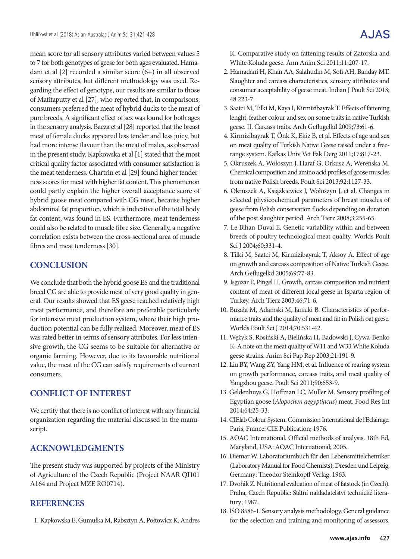mean score for all sensory attributes varied between values 5 to 7 for both genotypes of geese for both ages evaluated. Hamadani et al [2] recorded a similar score (6+) in all observed sensory attributes, but different methodology was used. Regarding the effect of genotype, our results are similar to those of Matitaputty et al [27], who reported that, in comparisons, consumers preferred the meat of hybrid ducks to the meat of pure breeds. A significant effect of sex was found for both ages in the sensory analysis. Baeza et al [28] reported that the breast meat of female ducks appeared less tender and less juicy, but had more intense flavour than the meat of males, as observed in the present study. Kapkowska et al [1] stated that the most critical quality factor associated with consumer satisfaction is the meat tenderness. Chartrin et al [29] found higher tenderness scores for meat with higher fat content. This phenomenon could partly explain the higher overall acceptance score of hybrid goose meat compared with CG meat, because higher abdominal fat proportion, which is indicative of the total body fat content, was found in ES. Furthermore, meat tenderness could also be related to muscle fibre size. Generally, a negative correlation exists between the cross-sectional area of muscle fibres and meat tenderness [30].

## **CONCLUSION**

We conclude that both the hybrid goose ES and the traditional breed CG are able to provide meat of very good quality in general. Our results showed that ES geese reached relatively high meat performance, and therefore are preferable particularly for intensive meat production system, where their high production potential can be fully realized. Moreover, meat of ES was rated better in terms of sensory attributes. For less intensive growth, the CG seems to be suitable for alternative or organic farming. However, due to its favourable nutritional value, the meat of the CG can satisfy requirements of current consumers.

## **CONFLICT OF INTEREST**

We certify that there is no conflict of interest with any financial organization regarding the material discussed in the manuscript.

## **ACKNOWLEDGMENTS**

The present study was supported by projects of the Ministry of Agriculture of the Czech Republic (Project NAAR QI101 A164 and Project MZE RO0714).

## **REFERENCES**

1. Kapkowska E, Gumułka M, Rabsztyn A, Połtowicz K, Andres

K. Comparative study on fattening results of Zatorska and White Koluda geese. Ann Anim Sci 2011;11:207-17.

- 2. Hamadani H, Khan AA, Salahudin M, Sofi AH, Banday MT. Slaughter and carcass characteristics, sensory attributes and consumer acceptability of geese meat. Indian J Poult Sci 2013; 48:223-7.
- 3. Saatci M, Tilki M, Kaya I, Kirmizibayrak T. Effects of fattening lenght, feather colour and sex on some traits in native Turkish geese. II. Carcass traits. Arch Geflugelkd 2009;73:61-6.
- 4. Kirmizibayrak T, Önk K, Ekiz B, et al. Effects of age and sex on meat quality of Turkish Native Geese raised under a freerange system. Kafkas Univ Vet Fak Derg 2011;17:817-23.
- 5. Okruszek A, Wołoszyn J, Haraf G, Orkusz A, Wereńska M. Chemical composition and amino acid profiles of goose muscles from native Polish breeds. Poult Sci 2013;92:1127-33.
- 6. Okruszek A, Książkiewicz J, Wołoszyn J, et al. Changes in selected physicochemical parameters of breast muscles of geese from Polish conservation flocks depending on duration of the post slaughter period. Arch Tierz 2008;3:255-65.
- 7. Le Bihan-Duval E. Genetic variability within and between breeds of poultry technological meat quality. Worlds Poult Sci J 2004;60:331-4.
- 8. Tilki M, Saatci M, Kirmizibayrak T, Aksoy A. Effect of age on growth and carcass composition of Native Turkish Geese. Arch Geflugelkd 2005;69:77-83.
- 9. Isguzar E, Pingel H. Growth, carcass composition and nutrient content of meat of different local geese in Isparta region of Turkey. Arch Tierz 2003;46:71-6.
- 10. Buzała M, Adamski M, Janicki B. Characteristics of performance traits and the quality of meat and fat in Polish oat geese. Worlds Poult Sci J 2014;70:531-42.
- 11. Wężyk S, Rosiński A, Bielińska H, Badowski J, Cywa-Benko K. A note on the meat quality of W11 and W33 White Kołuda geese strains. Anim Sci Pap Rep 2003;21:191-9.
- 12. Liu BY, Wang ZY, Yang HM, et al. Influence of rearing system on growth performance, carcass traits, and meat quality of Yangzhou geese. Poult Sci 2011;90:653-9.
- 13. Geldenhuys G, Hoffman LC, Muller M. Sensory profiling of Egyptian goose (*Alopochen aegyptiacus*) meat. Food Res Int 2014;64:25-33.
- 14. CIElab Colour System. Commission International de l'Eclairage. Paris, France: CIE Publication; 1976.
- 15. AOAC International. Official methods of analysis. 18th Ed, Maryland, USA: AOAC International; 2005.
- 16. Diemar W. Laboratoriumbuch für den Lebensmittelchemiker (Laboratory Manual for Food Chemists); Dresden und Leipzig, Germany: Theodor Steinkopff Verlag; 1963.
- 17. Dvořák Z. Nutritional evaluation of meat of fatstock (in Czech). Praha, Czech Republic: Státní nakladatelství technické literatury; 1987.
- 18. ISO 8586-1. Sensory analysis methodology. General guidance for the selection and training and monitoring of assessors.